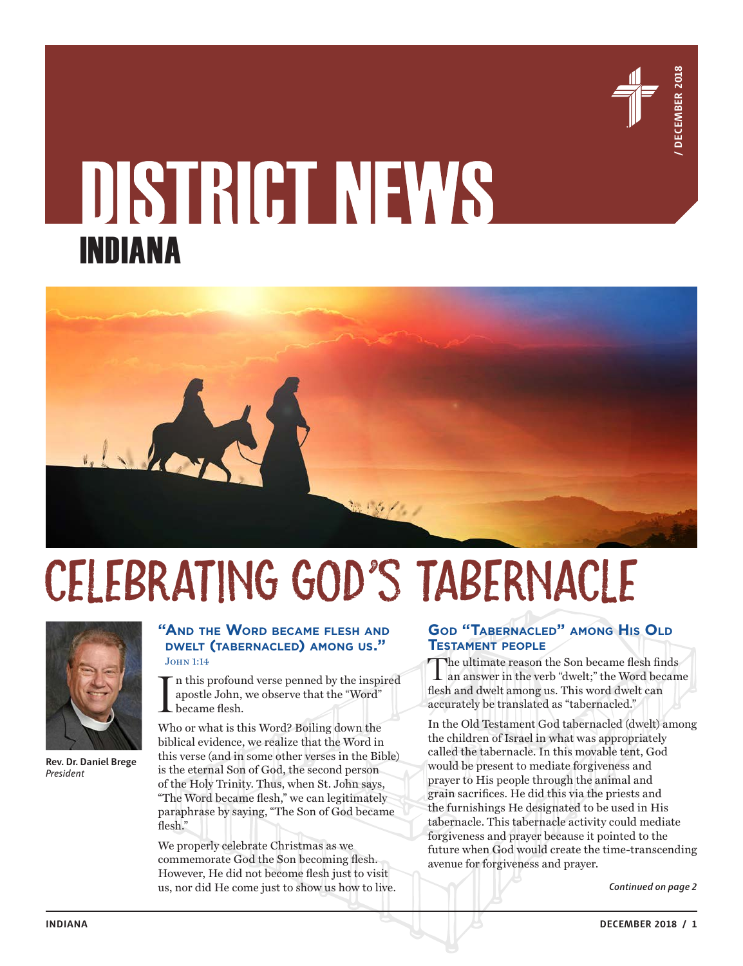

# INDIANA



# Celebrating God's Tabernacle



**Rev. Dr. Daniel Brege** *President*

#### **"And the Word became flesh and dwelt (tabernacled) among us."** John 1:14

I n this profound verse penned by the inspired apostle John, we observe that the "Word" became flesh.

Who or what is this Word? Boiling down the biblical evidence, we realize that the Word in this verse (and in some other verses in the Bible) is the eternal Son of God, the second person of the Holy Trinity. Thus, when St. John says, "The Word became flesh," we can legitimately paraphrase by saying, "The Son of God became flesh."

We properly celebrate Christmas as we commemorate God the Son becoming flesh. However, He did not become flesh just to visit us, nor did He come just to show us how to live. *Continued on page 2*

### **God "Tabernacled" among His Old Testament people**

The ultimate reason the Son became flesh finds an answer in the verb "dwelt;" the Word became flesh and dwelt among us. This word dwelt can accurately be translated as "tabernacled."

In the Old Testament God tabernacled (dwelt) among the children of Israel in what was appropriately called the tabernacle. In this movable tent, God would be present to mediate forgiveness and prayer to His people through the animal and grain sacrifices. He did this via the priests and the furnishings He designated to be used in His tabernacle. This tabernacle activity could mediate forgiveness and prayer because it pointed to the future when God would create the time-transcending avenue for forgiveness and prayer.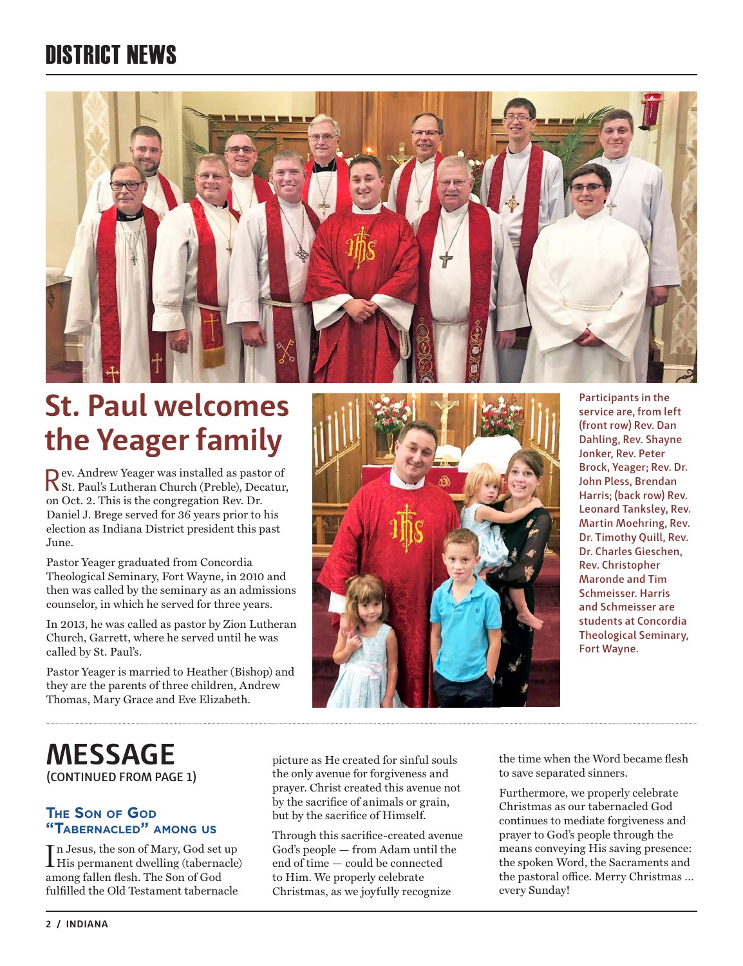## DISTRICT NEWS



## **St. Paul welcomes the Yeager family**

Rev. Andrew Yeager was installed as pastor of St. Paul's Lutheran Church (Preble), Decatur, on Oct. 2. This is the congregation Rev. Dr. Daniel J. Brege served for 36 years prior to his election as Indiana District president this past June.

Pastor Yeager graduated from Concordia Theological Seminary, Fort Wayne, in 2010 and then was called by the seminary as an admissions counselor, in which he served for three years.

In 2013, he was called as pastor by Zion Lutheran Church, Garrett, where he served until he was called by St. Paul's.

Pastor Yeager is married to Heather (Bishop) and they are the parents of three children, Andrew Thomas, Mary Grace and Eve Elizabeth.



**Participants in the service are, from left (front row) Rev. Dan Dahling, Rev. Shayne Jonker, Rev. Peter Brock, Yeager; Rev. Dr. John Pless, Brendan Harris; (back row) Rev. Leonard Tanksley, Rev. Martin Moehring, Rev. Dr. Timothy Quill, Rev. Dr. Charles Gieschen, Rev. Christopher Maronde and Tim Schmeisser. Harris and Schmeisser are students at Concordia Theological Seminary, Fort Wayne.**

## **(CONTINUED FROM PAGE 1) MESSAGE**

### **The Son of God "Tabernacled" among us**

In Jesus, the son of Mary, God set up<br>His permanent dwelling (tabernacle) n Jesus, the son of Mary, God set up among fallen flesh. The Son of God fulfilled the Old Testament tabernacle

picture as He created for sinful souls the only avenue for forgiveness and prayer. Christ created this avenue not by the sacrifice of animals or grain, but by the sacrifice of Himself.

Through this sacrifice-created avenue God's people — from Adam until the end of time — could be connected to Him. We properly celebrate Christmas, as we joyfully recognize

the time when the Word became flesh to save separated sinners.

Furthermore, we properly celebrate Christmas as our tabernacled God continues to mediate forgiveness and prayer to God's people through the means conveying His saving presence: the spoken Word, the Sacraments and the pastoral office. Merry Christmas … every Sunday!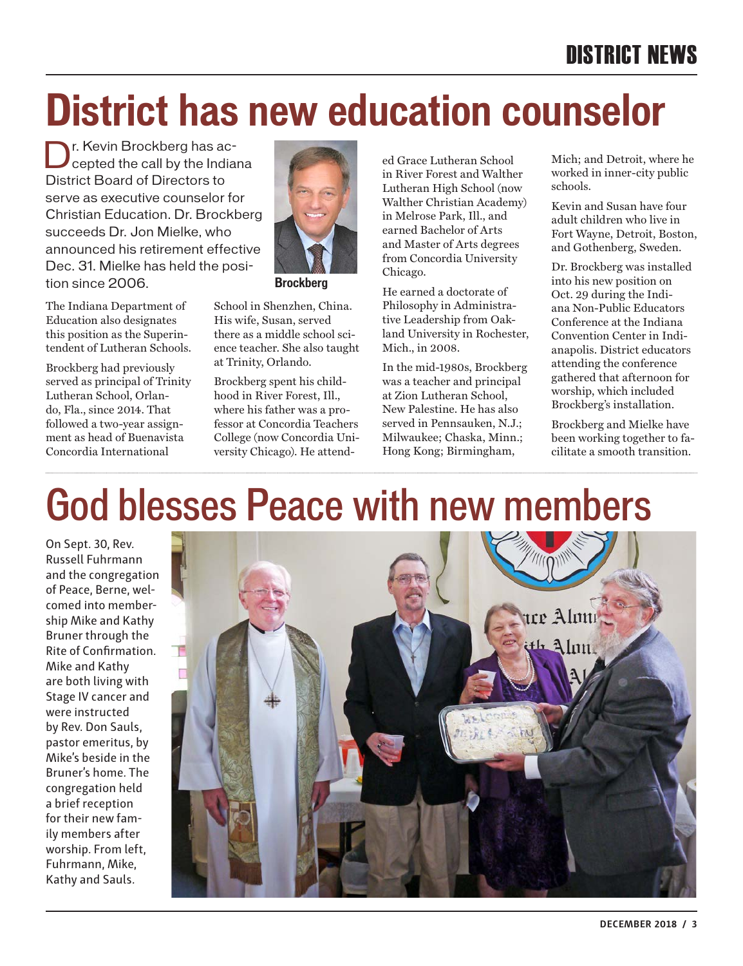# **District has new education counselor**

Dr. Kevin Brockberg has ac-<br>Deepted the call by the Indiana District Board of Directors to serve as executive counselor for Christian Education. Dr. Brockberg succeeds Dr. Jon Mielke, who announced his retirement effective Dec. 31. Mielke has held the position since 2006.

The Indiana Department of Education also designates this position as the Superintendent of Lutheran Schools.

Brockberg had previously served as principal of Trinity Lutheran School, Orlando, Fla., since 2014. That followed a two-year assignment as head of Buenavista Concordia International



**Brockberg**

School in Shenzhen, China. His wife, Susan, served there as a middle school science teacher. She also taught at Trinity, Orlando.

Brockberg spent his childhood in River Forest, Ill., where his father was a professor at Concordia Teachers College (now Concordia University Chicago). He attended Grace Lutheran School in River Forest and Walther Lutheran High School (now Walther Christian Academy) in Melrose Park, Ill., and earned Bachelor of Arts and Master of Arts degrees from Concordia University Chicago.

He earned a doctorate of Philosophy in Administrative Leadership from Oakland University in Rochester, Mich., in 2008.

In the mid-1980s, Brockberg was a teacher and principal at Zion Lutheran School, New Palestine. He has also served in Pennsauken, N.J.; Milwaukee; Chaska, Minn.; Hong Kong; Birmingham,

Mich; and Detroit, where he worked in inner-city public schools.

Kevin and Susan have four adult children who live in Fort Wayne, Detroit, Boston, and Gothenberg, Sweden.

Dr. Brockberg was installed into his new position on Oct. 29 during the Indiana Non-Public Educators Conference at the Indiana Convention Center in Indianapolis. District educators attending the conference gathered that afternoon for worship, which included Brockberg's installation.

Brockberg and Mielke have been working together to facilitate a smooth transition.

# God blesses Peace with new members

On Sept. 30, Rev. Russell Fuhrmann and the congregation of Peace, Berne, welcomed into membership Mike and Kathy Bruner through the Rite of Confirmation. Mike and Kathy are both living with Stage IV cancer and were instructed by Rev. Don Sauls, pastor emeritus, by Mike's beside in the Bruner's home. The congregation held a brief reception for their new family members after worship. From left, Fuhrmann, Mike, Kathy and Sauls.

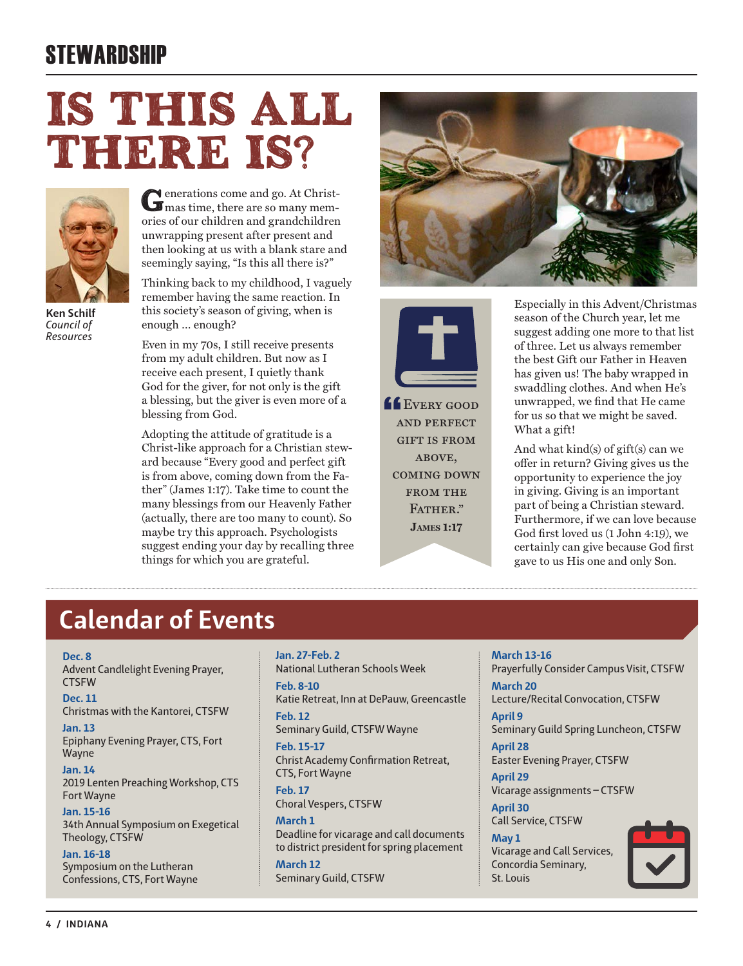## **STEWARDSHIP**

# Is this all THERE IS?



**Ken Schilf** *Council of Resources*

Generations come and go. At Christ-mas time, there are so many memories of our children and grandchildren unwrapping present after present and then looking at us with a blank stare and seemingly saying, "Is this all there is?"

Thinking back to my childhood, I vaguely remember having the same reaction. In this society's season of giving, when is enough … enough?

Even in my 70s, I still receive presents from my adult children. But now as I receive each present, I quietly thank God for the giver, for not only is the gift a blessing, but the giver is even more of a blessing from God.

Adopting the attitude of gratitude is a Christ-like approach for a Christian steward because "Every good and perfect gift is from above, coming down from the Father" (James 1:17). Take time to count the many blessings from our Heavenly Father (actually, there are too many to count). So maybe try this approach. Psychologists suggest ending your day by recalling three things for which you are grateful.





**LE** EVERY GOOD and perfect gift is from ABOVE. coming down from the FATHER." **James 1:17** 

Especially in this Advent/Christmas season of the Church year, let me suggest adding one more to that list of three. Let us always remember the best Gift our Father in Heaven has given us! The baby wrapped in swaddling clothes. And when He's unwrapped, we find that He came for us so that we might be saved. What a gift!

And what kind(s) of gift(s) can we offer in return? Giving gives us the opportunity to experience the joy in giving. Giving is an important part of being a Christian steward. Furthermore, if we can love because God first loved us (1 John 4:19), we certainly can give because God first gave to us His one and only Son.

## **Calendar of Events**

#### **Dec. 8**

Advent Candlelight Evening Prayer, CTSFW

#### **Dec. 11**

Christmas with the Kantorei, CTSFW

## **Jan. 13**

Epiphany Evening Prayer, CTS, Fort Wayne

**Jan. 14** 2019 Lenten Preaching Workshop, CTS Fort Wayne

#### **Jan. 15-16**

34th Annual Symposium on Exegetical Theology, CTSFW

#### **Jan. 16-18**

Symposium on the Lutheran Confessions, CTS, Fort Wayne **Jan. 27-Feb. 2** National Lutheran Schools Week

**Feb. 8-10** Katie Retreat, Inn at DePauw, Greencastle

**Feb. 12** Seminary Guild, CTSFW Wayne

#### **Feb. 15-17** Christ Academy Confirmation Retreat, CTS, Fort Wayne

**Feb. 17** Choral Vespers, CTSFW

**March 1** Deadline for vicarage and call documents to district president for spring placement

**March 12** Seminary Guild, CTSFW **March 13-16** Prayerfully Consider Campus Visit, CTSFW

**March 20** Lecture/Recital Convocation, CTSFW

**April 9** Seminary Guild Spring Luncheon, CTSFW

**April 28** Easter Evening Prayer, CTSFW

**April 29** Vicarage assignments – CTSFW

**April 30** Call Service, CTSFW

#### **May 1**

Vicarage and Call Services, Concordia Seminary, St. Louis

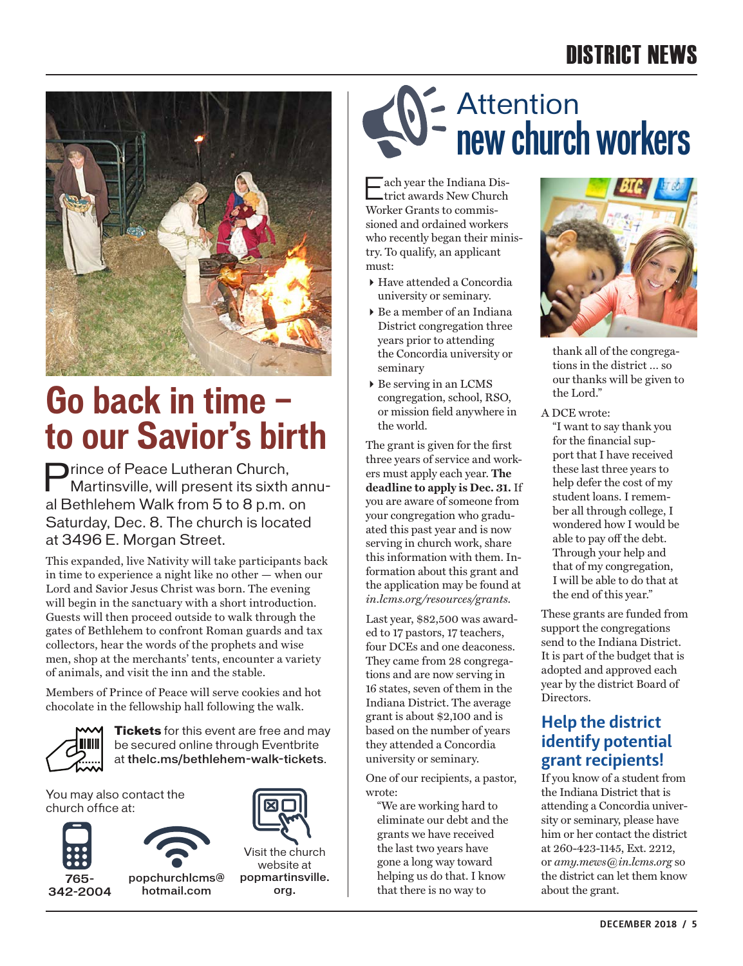## DISTRICT NEWS



## **Go back in time to our Savior's birth**

**Prince of Peace Lutheran Church,** Martinsville, will present its sixth annual Bethlehem Walk from 5 to 8 p.m. on Saturday, Dec. 8. The church is located at 3496 E. Morgan Street.

This expanded, live Nativity will take participants back in time to experience a night like no other — when our Lord and Savior Jesus Christ was born. The evening will begin in the sanctuary with a short introduction. Guests will then proceed outside to walk through the gates of Bethlehem to confront Roman guards and tax collectors, hear the words of the prophets and wise men, shop at the merchants' tents, encounter a variety of animals, and visit the inn and the stable.

Members of Prince of Peace will serve cookies and hot chocolate in the fellowship hall following the walk.



**Tickets** for this event are free and may be secured online through Eventbrite at thelc.ms/bethlehem-walk-tickets.

You may also contact the church office at:





popchurchlcms@ hotmail.com



Visit the church website at popmartinsville. org.

## Attention **new church workers**

Each year the Indiana Dis-trict awards New Church Worker Grants to commissioned and ordained workers who recently began their ministry. To qualify, an applicant must:

- Have attended a Concordia university or seminary.
- Be a member of an Indiana District congregation three years prior to attending the Concordia university or seminary
- Be serving in an LCMS congregation, school, RSO, or mission field anywhere in the world.

The grant is given for the first three years of service and workers must apply each year. **The deadline to apply is Dec. 31.** If you are aware of someone from your congregation who graduated this past year and is now serving in church work, share this information with them. Information about this grant and the application may be found at *in.lcms.org/resources/grants.*

Last year, \$82,500 was awarded to 17 pastors, 17 teachers, four DCEs and one deaconess. They came from 28 congregations and are now serving in 16 states, seven of them in the Indiana District. The average grant is about \$2,100 and is based on the number of years they attended a Concordia university or seminary.

One of our recipients, a pastor, wrote:

"We are working hard to eliminate our debt and the grants we have received the last two years have gone a long way toward helping us do that. I know that there is no way to



thank all of the congregations in the district … so our thanks will be given to the Lord."

A DCE wrote:

"I want to say thank you for the financial support that I have received these last three years to help defer the cost of my student loans. I remember all through college, I wondered how I would be able to pay off the debt. Through your help and that of my congregation, I will be able to do that at the end of this year."

These grants are funded from support the congregations send to the Indiana District. It is part of the budget that is adopted and approved each year by the district Board of Directors.

## **Help the district identify potential grant recipients!**

If you know of a student from the Indiana District that is attending a Concordia university or seminary, please have him or her contact the district at 260-423-1145, Ext. 2212, or *amy.mews@in.lcms.org* so the district can let them know about the grant.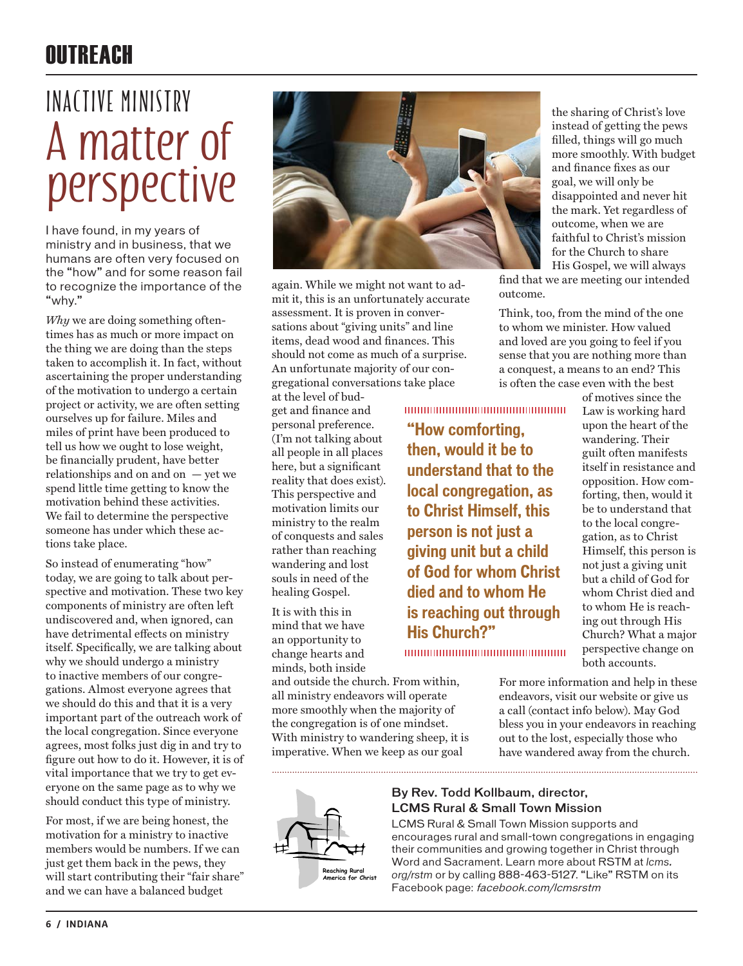## OUTREACH

# **A matter of perspective Inactive Ministry**

I have found, in my years of ministry and in business, that we humans are often very focused on the "how" and for some reason fail to recognize the importance of the "why."

*Why* we are doing something oftentimes has as much or more impact on the thing we are doing than the steps taken to accomplish it. In fact, without ascertaining the proper understanding of the motivation to undergo a certain project or activity, we are often setting ourselves up for failure. Miles and miles of print have been produced to tell us how we ought to lose weight, be financially prudent, have better relationships and on and on — yet we spend little time getting to know the motivation behind these activities. We fail to determine the perspective someone has under which these actions take place.

So instead of enumerating "how" today, we are going to talk about perspective and motivation. These two key components of ministry are often left undiscovered and, when ignored, can have detrimental effects on ministry itself. Specifically, we are talking about why we should undergo a ministry to inactive members of our congregations. Almost everyone agrees that we should do this and that it is a very important part of the outreach work of the local congregation. Since everyone agrees, most folks just dig in and try to figure out how to do it. However, it is of vital importance that we try to get everyone on the same page as to why we should conduct this type of ministry.

For most, if we are being honest, the motivation for a ministry to inactive members would be numbers. If we can just get them back in the pews, they will start contributing their "fair share" and we can have a balanced budget



again. While we might not want to admit it, this is an unfortunately accurate assessment. It is proven in conversations about "giving units" and line items, dead wood and finances. This should not come as much of a surprise. An unfortunate majority of our congregational conversations take place at the level of bud-

get and finance and personal preference. (I'm not talking about all people in all places here, but a significant reality that does exist). This perspective and motivation limits our ministry to the realm of conquests and sales rather than reaching wandering and lost souls in need of the healing Gospel.

It is with this in mind that we have an opportunity to change hearts and minds, both inside

and outside the church. From within, all ministry endeavors will operate more smoothly when the majority of the congregation is of one mindset. With ministry to wandering sheep, it is imperative. When we keep as our goal

0000000000000000000000000000

**"How comforting, then, would it be to understand that to the local congregation, as to Christ Himself, this person is not just a giving unit but a child of God for whom Christ died and to whom He is reaching out through His Church?"**

the sharing of Christ's love instead of getting the pews filled, things will go much more smoothly. With budget and finance fixes as our goal, we will only be disappointed and never hit the mark. Yet regardless of outcome, when we are faithful to Christ's mission for the Church to share His Gospel, we will always

find that we are meeting our intended outcome.

Think, too, from the mind of the one to whom we minister. How valued and loved are you going to feel if you sense that you are nothing more than a conquest, a means to an end? This is often the case even with the best

of motives since the Law is working hard upon the heart of the wandering. Their guilt often manifests itself in resistance and opposition. How comforting, then, would it be to understand that to the local congregation, as to Christ Himself, this person is not just a giving unit but a child of God for whom Christ died and to whom He is reaching out through His Church? What a major perspective change on both accounts.

For more information and help in these endeavors, visit our website or give us a call (contact info below). May God bless you in your endeavors in reaching out to the lost, especially those who have wandered away from the church.

#### By Rev. Todd Kollbaum, director, LCMS Rural & Small Town Mission

LCMS Rural & Small Town Mission supports and encourages rural and small-town congregations in engaging their communities and growing together in Christ through Word and Sacrament. Learn more about RSTM at *lcms. org/rstm* or by calling 888-463-5127. "Like" RSTM on its Facebook page: facebook.com/lcmsrstm

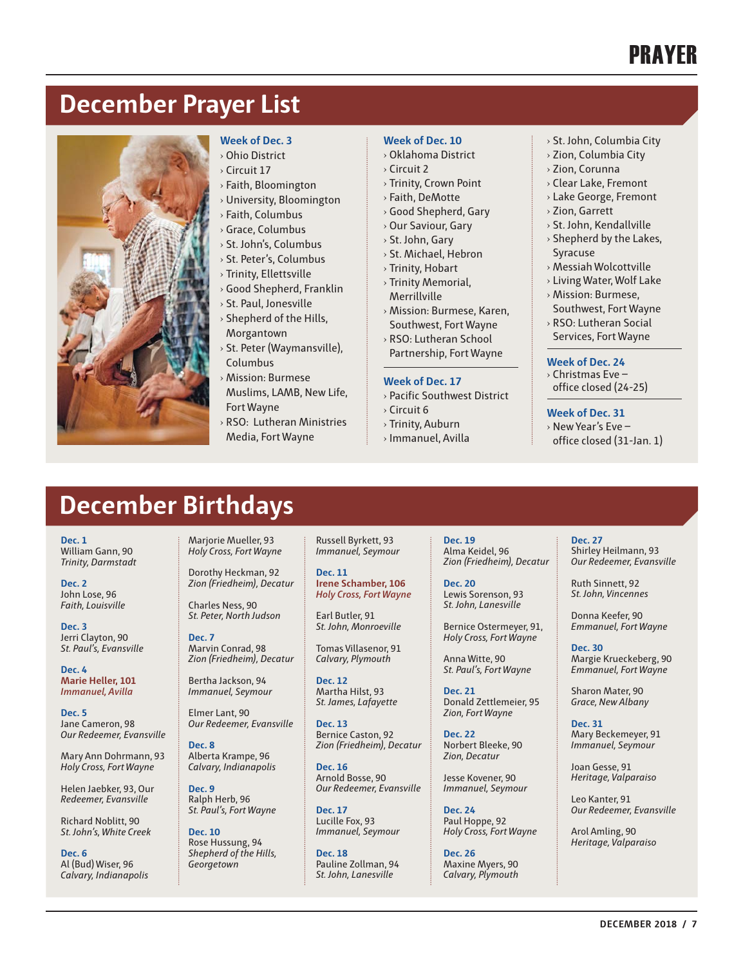## PRAYER

## **December Prayer List**



#### **Week of Dec. 3**

- **Ohio District**
- › Circuit 17
- › Faith, Bloomington
- › University, Bloomington
- › Faith, Columbus
- › Grace, Columbus
- › St. John's, Columbus
- › St. Peter's, Columbus
- › Trinity, Ellettsville
- › Good Shepherd, Franklin
- › St. Paul, Jonesville › Shepherd of the Hills,
- Morgantown
- › St. Peter (Waymansville), Columbus
- › Mission: Burmese Muslims, LAMB, New Life, Fort Wayne
- RSO: Lutheran Ministries Media, Fort Wayne

#### **Week of Dec. 10**

- › Oklahoma District
- › Circuit 2
- › Trinity, Crown Point
- › Faith, DeMotte
- › Good Shepherd, Gary
- › Our Saviour, Gary
- › St. John, Gary
- › St. Michael, Hebron
- › Trinity, Hobart
- › Trinity Memorial,
- Merrillville
- › Mission: Burmese, Karen, Southwest, Fort Wayne
- › RSO: Lutheran School Partnership, Fort Wayne

#### **Week of Dec. 17**

- › Pacific Southwest District
- › Circuit 6
- › Trinity, Auburn
- › Immanuel, Avilla
- › St. John, Columbia City
- › Zion, Columbia City
- › Zion, Corunna
- › Clear Lake, Fremont
- › Lake George, Fremont
- › Zion, Garrett
- › St. John, Kendallville
- $\rightarrow$  Shepherd by the Lakes,
- Syracuse › Messiah Wolcottville
- › Living Water, Wolf Lake
- › Mission: Burmese,
- Southwest, Fort Wayne › RSO: Lutheran Social
- Services, Fort Wayne

#### **Week of Dec. 24**

- › Christmas Eve office closed (24-25)
- 

#### **Week of Dec. 31**

- › New Year's Eve –
- office closed (31-Jan. 1)

## **December Birthdays**

Dorothy Heckman, 92 *Zion (Friedheim), Decatur*

Charles Ness, 90 *St. Peter, North Judson*

Marvin Conrad, 98 *Zion (Friedheim), Decatur*

Bertha Jackson, 94 *Immanuel, Seymour* Elmer Lant, 90 *Our Redeemer, Evansville*

Alberta Krampe, 96 *Calvary, Indianapolis*

**Dec. 7**

**Dec. 8**

**Dec. 9** Ralph Herb, 96 *St. Paul's, Fort Wayne*

**Dec. 10** Rose Hussung, 94 *Shepherd of the Hills, Georgetown*

**Dec. 1** William Gann, 90 *Trinity, Darmstadt*

**Dec. 2** John Lose, 96 *Faith, Louisville*

**Dec. 3** Jerri Clayton, 90 *St. Paul's, Evansville*

**Dec. 4 Marie Heller, 101** *Immanuel, Avilla*

**Dec. 5** Jane Cameron, 98 *Our Redeemer, Evansville*

Mary Ann Dohrmann, 93 *Holy Cross, Fort Wayne*

Helen Jaebker, 93, Our *Redeemer, Evansville*

Richard Noblitt, 90 *St. John's, White Creek*

**Dec. 6** Al (Bud) Wiser, 96 *Calvary, Indianapolis* Marjorie Mueller, 93 *Holy Cross, Fort Wayne* Russell Byrkett, 93 *Immanuel, Seymour*

> **Dec. 11 Irene Schamber, 106** *Holy Cross, Fort Wayne*

Earl Butler, 91 *St. John, Monroeville*

Tomas Villasenor, 91 *Calvary, Plymouth*

**Dec. 12** Martha Hilst, 93 *St. James, Lafayette*

**Dec. 13** Bernice Caston, 92 *Zion (Friedheim), Decatur*

**Dec. 16** Arnold Bosse, 90 *Our Redeemer, Evansville*

**Dec. 17** Lucille Fox, 93 *Immanuel, Seymour*

**Dec. 18** Pauline Zollman, 94 *St. John, Lanesville*

**Dec. 19** Alma Keidel, 96 *Zion (Friedheim), Decatur*

**Dec. 20** Lewis Sorenson, 93 *St. John, Lanesville*

Bernice Ostermeyer, 91, *Holy Cross, Fort Wayne*

Anna Witte, 90 *St. Paul's, Fort Wayne*

**Dec. 21** Donald Zettlemeier, 95 *Zion, Fort Wayne*

**Dec. 22** Norbert Bleeke, 90 *Zion, Decatur*

Jesse Kovener, 90 *Immanuel, Seymour*

**Dec. 24** Paul Hoppe, 92 *Holy Cross, Fort Wayne*

**Dec. 26** Maxine Myers, 90 *Calvary, Plymouth* **Dec. 27** Shirley Heilmann, 93 *Our Redeemer, Evansville*

Ruth Sinnett, 92 *St. John, Vincennes*

Donna Keefer, 90 *Emmanuel, Fort Wayne*

**Dec. 30** Margie Krueckeberg, 90 *Emmanuel, Fort Wayne*

Sharon Mater, 90 *Grace, New Albany*

**Dec. 31** Mary Beckemeyer, 91 *Immanuel, Seymour*

Joan Gesse, 91 *Heritage, Valparaiso*

Leo Kanter, 91 *Our Redeemer, Evansville*

Arol Amling, 90 *Heritage, Valparaiso*